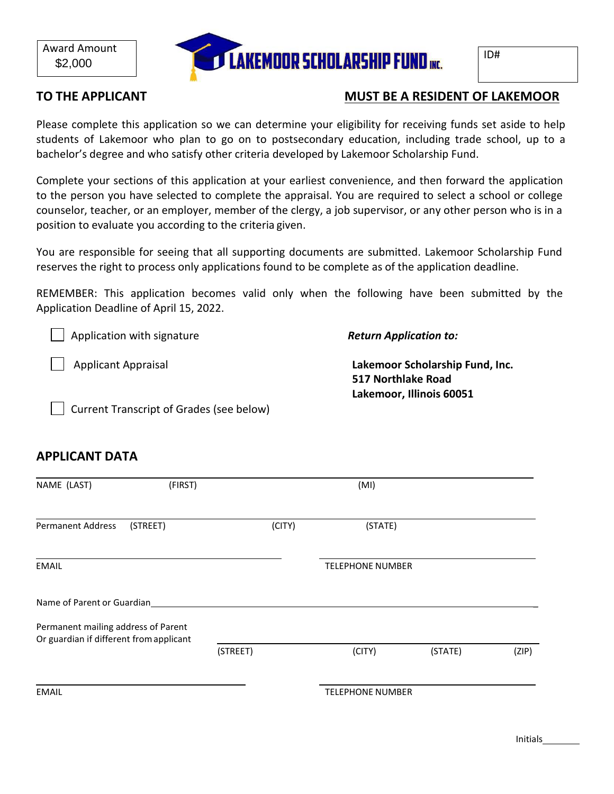

# TO THE APPLICANT **TO THE APPLICANT**

Please complete this application so we can determine your eligibility for receiving funds set aside to help students of Lakemoor who plan to go on to postsecondary education, including trade school, up to a bachelor's degree and who satisfy other criteria developed by Lakemoor Scholarship Fund.

Complete your sections of this application at your earliest convenience, and then forward the application to the person you have selected to complete the appraisal. You are required to select a school or college counselor, teacher, or an employer, member of the clergy, a job supervisor, or any other person who is in a position to evaluate you according to the criteria given.

You are responsible for seeing that all supporting documents are submitted. Lakemoor Scholarship Fund reserves the right to process only applications found to be complete as of the application deadline.

REMEMBER: This application becomes valid only when the following have been submitted by the Application Deadline of April 15, 2022.

Application with signature

*Return Application to:*

Applicant Appraisal

**Lakemoor Scholarship Fund, Inc. 517 Northlake Road Lakemoor, Illinois 60051**

Current Transcript of Grades (see below)

# **APPLICANT DATA**

| NAME (LAST)                                                                    | (FIRST)  |          |        | (MI)                    |         |       |
|--------------------------------------------------------------------------------|----------|----------|--------|-------------------------|---------|-------|
| <b>Permanent Address</b>                                                       | (STREET) |          | (CITY) | (STATE)                 |         |       |
| <b>EMAIL</b>                                                                   |          |          |        | <b>TELEPHONE NUMBER</b> |         |       |
| Name of Parent or Guardian                                                     |          |          |        |                         |         |       |
| Permanent mailing address of Parent<br>Or guardian if different from applicant |          |          |        |                         |         |       |
|                                                                                |          | (STREET) |        | (CITY)                  | (STATE) | (ZIP) |
| <b>EMAIL</b>                                                                   |          |          |        | <b>TELEPHONE NUMBER</b> |         |       |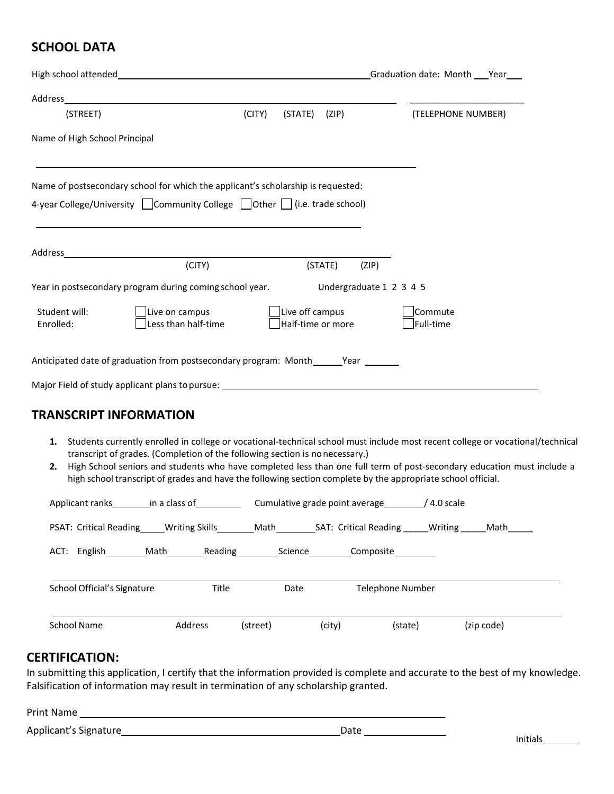# **SCHOOL DATA**

|                               |                                                                                   |        |                                      |         | Graduation date: Month Year |                      |
|-------------------------------|-----------------------------------------------------------------------------------|--------|--------------------------------------|---------|-----------------------------|----------------------|
|                               |                                                                                   |        |                                      |         |                             |                      |
| (STREET)                      |                                                                                   | (CITY) | (STATE)                              | (ZIP)   |                             | (TELEPHONE NUMBER)   |
| Name of High School Principal |                                                                                   |        |                                      |         |                             |                      |
|                               | Name of postsecondary school for which the applicant's scholarship is requested:  |        |                                      |         |                             |                      |
|                               | 4-year College/University Community College Other (i.e. trade school)             |        |                                      |         |                             |                      |
|                               |                                                                                   |        |                                      |         |                             |                      |
|                               |                                                                                   |        |                                      |         |                             |                      |
|                               | (CITY)                                                                            |        |                                      | (STATE) | (ZIP)                       |                      |
|                               | Year in postsecondary program during coming school year.                          |        |                                      |         | Undergraduate 1 2 3 4 5     |                      |
| Student will:<br>Enrolled:    | Live on campus<br>Less than half-time                                             |        | Live off campus<br>Half-time or more |         |                             | Commute<br>Full-time |
|                               | Anticipated date of graduation from postsecondary program: Month_______Year _____ |        |                                      |         |                             |                      |
|                               | Major Field of study applicant plans to pursue: _________________________________ |        |                                      |         |                             |                      |
|                               |                                                                                   |        |                                      |         |                             |                      |

## **TRANSCRIPT INFORMATION**

- **1.** Students currently enrolled in college or vocational-technical school must include most recent college or vocational/technical transcript of grades. (Completion of the following section is no necessary.)
- **2.** High School seniors and students who have completed less than one full term of post-secondary education must include a high school transcript of grades and have the following section complete by the appropriate school official.

| Applicant ranks in a class of                             |         |              | $/4.0$ scale<br>Cumulative grade point average |            |  |  |
|-----------------------------------------------------------|---------|--------------|------------------------------------------------|------------|--|--|
| PSAT: Critical Reading _____ Writing Skills ________ Math |         |              | SAT: Critical Reading Mriting                  | Math       |  |  |
| ACT: English Math                                         | Reading | Science_____ | Composite ________                             |            |  |  |
| School Official's Signature                               | Title   | Date         | <b>Telephone Number</b>                        |            |  |  |
| School Name                                               | Address | (street)     | (city)<br>(state)                              | (zip code) |  |  |

## **CERTIFICATION:**

In submitting this application, I certify that the information provided is complete and accurate to the best of my knowledge. Falsification of information may result in termination of any scholarship granted.

| <b>Print Name</b>     |      |  |
|-----------------------|------|--|
| Applicant's Signature | Date |  |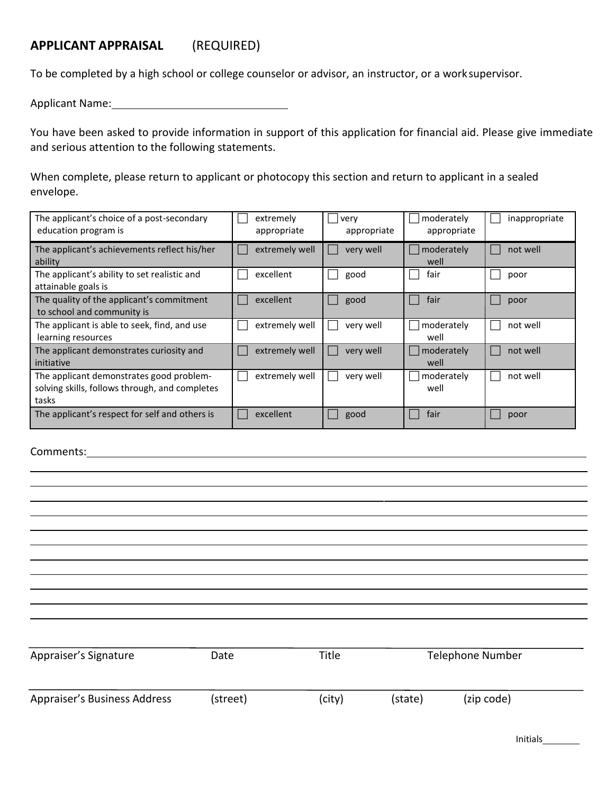# **APPLICANT APPRAISAL** (REQUIRED)

To be completed by a high school or college counselor or advisor, an instructor, or a work supervisor.

Applicant Name:

You have been asked to provide information in support of this application for financial aid. Please give immediate and serious attention to the following statements.

When complete, please return to applicant or photocopy this section and return to applicant in a sealed envelope.

| The applicant's choice of a post-secondary<br>education program is                                  | extremely<br>appropriate | very<br>appropriate | moderately<br>appropriate | inappropriate |
|-----------------------------------------------------------------------------------------------------|--------------------------|---------------------|---------------------------|---------------|
| The applicant's achievements reflect his/her<br>ability                                             | extremely well           | very well           | moderately<br>well        | not well      |
| The applicant's ability to set realistic and<br>attainable goals is                                 | excellent                | good                | fair                      | poor          |
| The quality of the applicant's commitment<br>to school and community is                             | excellent                | good                | fair                      | poor          |
| The applicant is able to seek, find, and use<br>learning resources                                  | extremely well           | very well           | moderately<br>well        | not well      |
| The applicant demonstrates curiosity and<br>initiative                                              | extremely well           | very well           | moderately<br>well        | not well      |
| The applicant demonstrates good problem-<br>solving skills, follows through, and completes<br>tasks | extremely well           | very well           | moderately<br>well        | not well      |
| The applicant's respect for self and others is                                                      | excellent                | good                | fair                      | poor          |

Comments:

| Appraiser's Signature        | Date     | Title  |         | <b>Telephone Number</b> |  |
|------------------------------|----------|--------|---------|-------------------------|--|
|                              |          |        |         |                         |  |
|                              |          |        |         |                         |  |
| Appraiser's Business Address | (street) | (city) | (state) | (zip code)              |  |
|                              |          |        |         |                         |  |

Initials